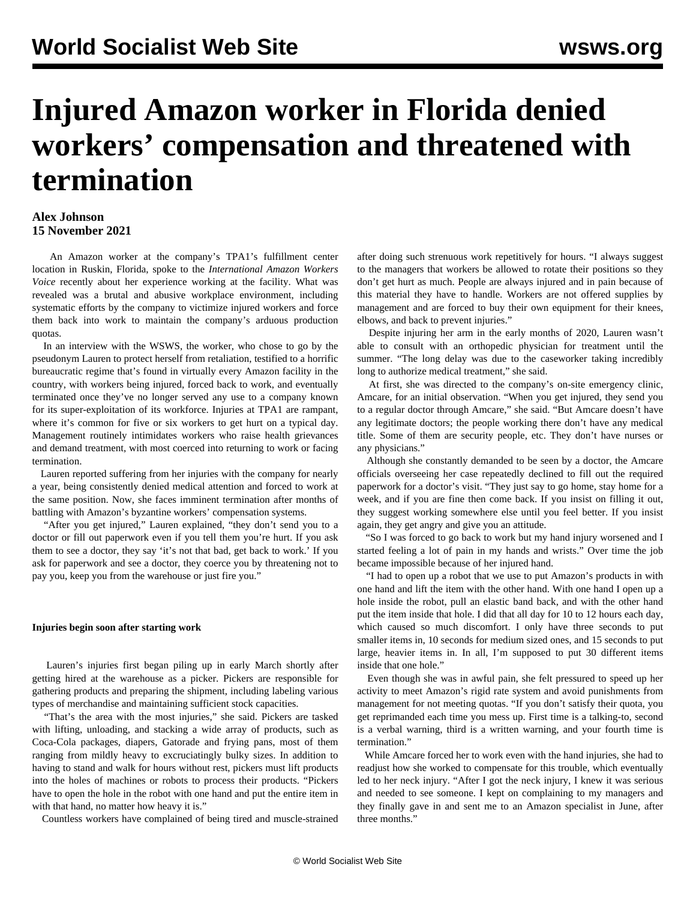# **Injured Amazon worker in Florida denied workers' compensation and threatened with termination**

### **Alex Johnson 15 November 2021**

 An Amazon worker at the company's TPA1's fulfillment center location in Ruskin, Florida, spoke to the *International Amazon Workers Voice* recently about her experience working at the facility. What was revealed was a brutal and abusive workplace environment, including systematic efforts by the company to victimize injured workers and force them back into work to maintain the company's arduous production quotas.

 In an interview with the WSWS, the worker, who chose to go by the pseudonym Lauren to protect herself from retaliation, testified to a horrific bureaucratic regime that's found in virtually every Amazon facility in the country, with workers being injured, forced back to work, and eventually terminated once they've no longer served any use to a company known for its super-exploitation of its workforce. Injuries at TPA1 are rampant, where it's common for five or six workers to get hurt on a typical day. Management routinely intimidates workers who raise health grievances and demand treatment, with most coerced into returning to work or facing termination.

 Lauren reported suffering from her injuries with the company for nearly a year, being consistently denied medical attention and forced to work at the same position. Now, she faces imminent termination after months of battling with Amazon's byzantine workers' compensation systems.

 "After you get injured," Lauren explained, "they don't send you to a doctor or fill out paperwork even if you tell them you're hurt. If you ask them to see a doctor, they say 'it's not that bad, get back to work.' If you ask for paperwork and see a doctor, they coerce you by threatening not to pay you, keep you from the warehouse or just fire you."

#### **Injuries begin soon after starting work**

 Lauren's injuries first began piling up in early March shortly after getting hired at the warehouse as a picker. Pickers are responsible for gathering products and preparing the shipment, including labeling various types of merchandise and maintaining sufficient stock capacities.

 "That's the area with the most injuries," she said. Pickers are tasked with lifting, unloading, and stacking a wide array of products, such as Coca-Cola packages, diapers, Gatorade and frying pans, most of them ranging from mildly heavy to excruciatingly bulky sizes. In addition to having to stand and walk for hours without rest, pickers must lift products into the holes of machines or robots to process their products. "Pickers have to open the hole in the robot with one hand and put the entire item in with that hand, no matter how heavy it is."

Countless workers have complained of being tired and muscle-strained

after doing such strenuous work repetitively for hours. "I always suggest to the managers that workers be allowed to rotate their positions so they don't get hurt as much. People are always injured and in pain because of this material they have to handle. Workers are not offered supplies by management and are forced to buy their own equipment for their knees, elbows, and back to prevent injuries."

 Despite injuring her arm in the early months of 2020, Lauren wasn't able to consult with an orthopedic physician for treatment until the summer. "The long delay was due to the caseworker taking incredibly long to authorize medical treatment," she said.

 At first, she was directed to the company's on-site emergency clinic, Amcare, for an initial observation. "When you get injured, they send you to a regular doctor through Amcare," she said. "But Amcare doesn't have any legitimate doctors; the people working there don't have any medical title. Some of them are security people, etc. They don't have nurses or any physicians."

 Although she constantly demanded to be seen by a doctor, the Amcare officials overseeing her case repeatedly declined to fill out the required paperwork for a doctor's visit. "They just say to go home, stay home for a week, and if you are fine then come back. If you insist on filling it out, they suggest working somewhere else until you feel better. If you insist again, they get angry and give you an attitude.

 "So I was forced to go back to work but my hand injury worsened and I started feeling a lot of pain in my hands and wrists." Over time the job became impossible because of her injured hand.

 "I had to open up a robot that we use to put Amazon's products in with one hand and lift the item with the other hand. With one hand I open up a hole inside the robot, pull an elastic band back, and with the other hand put the item inside that hole. I did that all day for 10 to 12 hours each day, which caused so much discomfort. I only have three seconds to put smaller items in, 10 seconds for medium sized ones, and 15 seconds to put large, heavier items in. In all, I'm supposed to put 30 different items inside that one hole."

 Even though she was in awful pain, she felt pressured to speed up her activity to meet Amazon's rigid rate system and avoid punishments from management for not meeting quotas. "If you don't satisfy their quota, you get reprimanded each time you mess up. First time is a talking-to, second is a verbal warning, third is a written warning, and your fourth time is termination."

 While Amcare forced her to work even with the hand injuries, she had to readjust how she worked to compensate for this trouble, which eventually led to her neck injury. "After I got the neck injury, I knew it was serious and needed to see someone. I kept on complaining to my managers and they finally gave in and sent me to an Amazon specialist in June, after three months."